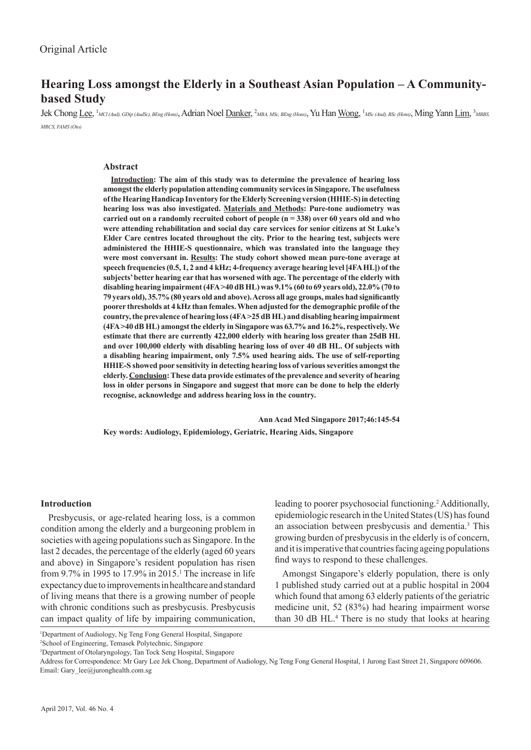# **Hearing Loss amongst the Elderly in a Southeast Asian Population – A Communitybased Study**

Jek Chong <u>Lee</u>, <sup>1</sup>MCl (Aud), GDip (AudSc), BEng (Hons), Adrian Noel <u>Danker</u>, <sup>2</sup>MBA, MSc, BEng (Hons), Yu Han <u>Wong</u>, <sup>1</sup>MSc (Aud), BSc (Hons), Ming Yann <u>Lim,</u> <sup>3</sup>MBBS, *MRCS, FAMS (Oto)*

#### **Abstract**

**Introduction: The aim of this study was to determine the prevalence of hearing loss amongst the elderly population attending community services in Singapore. The usefulness of the Hearing Handicap Inventory for the Elderly Screening version (HHIE-S) in detecting hearing loss was also investigated. Materials and Methods: Pure-tone audiometry was carried out on a randomly recruited cohort of people (n = 338) over 60 years old and who were attending rehabilitation and social day care services for senior citizens at St Luke's Elder Care centres located throughout the city. Prior to the hearing test, subjects were administered the HHIE-S questionnaire, which was translated into the language they were most conversant in. Results: The study cohort showed mean pure-tone average at speech frequencies (0.5, 1, 2 and 4 kHz; 4-frequency average hearing level [4FA HL]) of the subjects' better hearing ear that has worsened with age. The percentage of the elderly with disabling hearing impairment (4FA >40 dB HL) was 9.1% (60 to 69 years old), 22.0% (70 to 79 years old), 35.7% (80 years old and above). Across all age groups, males had significantly poorer thresholds at 4 kHz than females. When adjusted for the demographic profile of the country, the prevalence of hearing loss (4FA >25 dB HL) and disabling hearing impairment (4FA >40 dB HL) amongst the elderly in Singapore was 63.7% and 16.2%, respectively. We estimate that there are currently 422,000 elderly with hearing loss greater than 25dB HL and over 100,000 elderly with disabling hearing loss of over 40 dB HL. Of subjects with a disabling hearing impairment, only 7.5% used hearing aids. The use of self-reporting HHIE-S showed poor sensitivity in detecting hearing loss of various severities amongst the elderly. Conclusion: These data provide estimates of the prevalence and severity of hearing loss in older persons in Singapore and suggest that more can be done to help the elderly recognise, acknowledge and address hearing loss in the country.**

 **Ann Acad Med Singapore 2017;46:145-54 Key words: Audiology, Epidemiology, Geriatric, Hearing Aids, Singapore** 

#### **Introduction**

Presbycusis, or age-related hearing loss, is a common condition among the elderly and a burgeoning problem in societies with ageing populations such as Singapore. In the last 2 decades, the percentage of the elderly (aged 60 years and above) in Singapore's resident population has risen from 9.7% in 1995 to 17.9% in 2015.<sup>1</sup> The increase in life expectancy due to improvements in healthcare and standard of living means that there is a growing number of people with chronic conditions such as presbycusis. Presbycusis can impact quality of life by impairing communication,

leading to poorer psychosocial functioning.<sup>2</sup> Additionally, epidemiologic research in the United States (US) has found an association between presbycusis and dementia.3 This growing burden of presbycusis in the elderly is of concern, and it is imperative that countries facing ageing populations find ways to respond to these challenges.

Amongst Singapore's elderly population, there is only 1 published study carried out at a public hospital in 2004 which found that among 63 elderly patients of the geriatric medicine unit, 52 (83%) had hearing impairment worse than 30 dB HL.<sup>4</sup> There is no study that looks at hearing

1 Department of Audiology, Ng Teng Fong General Hospital, Singapore 2 School of Engineering, Temasek Polytechnic, Singapore

3 Department of Otolaryngology, Tan Tock Seng Hospital, Singapore

Address for Correspondence: Mr Gary Lee Jek Chong, Department of Audiology, Ng Teng Fong General Hospital, 1 Jurong East Street 21, Singapore 609606. Email: Gary\_lee@juronghealth.com.sg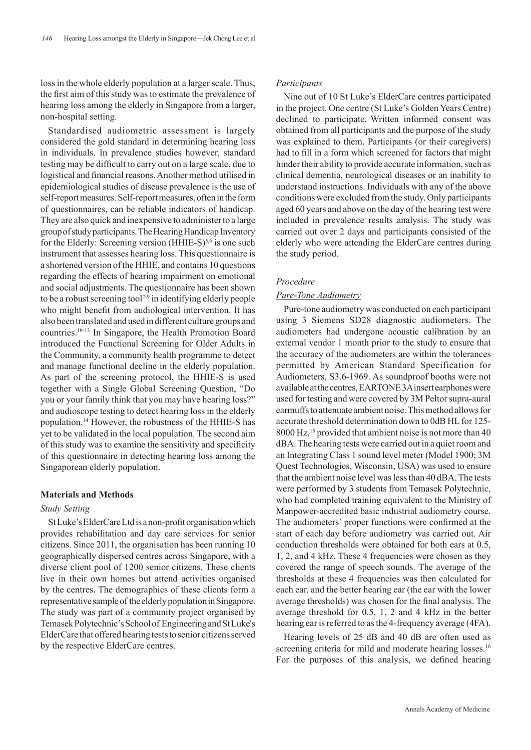loss in the whole elderly population at a larger scale. Thus, the first aim of this study was to estimate the prevalence of hearing loss among the elderly in Singapore from a larger, non-hospital setting.

Standardised audiometric assessment is largely considered the gold standard in determining hearing loss in individuals. In prevalence studies however, standard testing may be difficult to carry out on a large scale, due to logistical and financial reasons. Another method utilised in epidemiological studies of disease prevalence is the use of self-report measures. Self-report measures, often in the form of questionnaires, can be reliable indicators of handicap. They are also quick and inexpensive to administer to a large group of study participants. The Hearing Handicap Inventory for the Elderly: Screening version  $(HHIE-S)^{5,6}$  is one such instrument that assesses hearing loss. This questionnaire is a shortened version of the HHIE, and contains 10 questions regarding the effects of hearing impairment on emotional and social adjustments. The questionnaire has been shown to be a robust screening tool<sup>7-9</sup> in identifying elderly people who might benefit from audiological intervention. It has also been translated and used in different culture groups and countries.10-13 In Singapore, the Health Promotion Board introduced the Functional Screening for Older Adults in the Community, a community health programme to detect and manage functional decline in the elderly population. As part of the screening protocol, the HHIE-S is used together with a Single Global Screening Question, "Do you or your family think that you may have hearing loss?" and audioscope testing to detect hearing loss in the elderly population.14 However, the robustness of the HHIE-S has yet to be validated in the local population. The second aim of this study was to examine the sensitivity and specificity of this questionnaire in detecting hearing loss among the Singaporean elderly population.

#### **Materials and Methods**

#### *Study Setting*

St Luke's ElderCare Ltd is a non-profit organisation which provides rehabilitation and day care services for senior citizens. Since 2011, the organisation has been running 10 geographically dispersed centres across Singapore, with a diverse client pool of 1200 senior citizens. These clients live in their own homes but attend activities organised by the centres. The demographics of these clients form a representative sample of the elderly population in Singapore. The study was part of a community project organised by Temasek Polytechnic's School of Engineering and St Luke's ElderCare that offered hearing tests to senior citizens served by the respective ElderCare centres.

#### *Participants*

Nine out of 10 St Luke's ElderCare centres participated in the project. One centre (St Luke's Golden Years Centre) declined to participate. Written informed consent was obtained from all participants and the purpose of the study was explained to them. Participants (or their caregivers) had to fill in a form which screened for factors that might hinder their ability to provide accurate information, such as clinical dementia, neurological diseases or an inability to understand instructions. Individuals with any of the above conditions were excluded from the study. Only participants aged 60 years and above on the day of the hearing test were included in prevalence results analysis. The study was carried out over 2 days and participants consisted of the elderly who were attending the ElderCare centres during the study period.

#### *Procedure*

## *Pure-Tone Audiometry*

Pure-tone audiometry was conducted on each participant using 3 Siemens SD28 diagnostic audiometers. The audiometers had undergone acoustic calibration by an external vendor 1 month prior to the study to ensure that the accuracy of the audiometers are within the tolerances permitted by American Standard Specification for Audiometers, S3.6-1969. As soundproof booths were not available at the centres, EARTONE 3A insert earphones were used for testing and were covered by 3M Peltor supra-aural earmuffs to attenuate ambient noise. This method allows for accurate threshold determination down to 0dB HL for 125- 8000 Hz,15 provided that ambient noise is not more than 40 dBA. The hearing tests were carried out in a quiet room and an Integrating Class 1 sound level meter (Model 1900; 3M Quest Technologies, Wisconsin, USA) was used to ensure that the ambient noise level was less than 40 dBA. The tests were performed by 3 students from Temasek Polytechnic, who had completed training equivalent to the Ministry of Manpower-accredited basic industrial audiometry course. The audiometers' proper functions were confirmed at the start of each day before audiometry was carried out. Air conduction thresholds were obtained for both ears at 0.5, 1, 2, and 4 kHz. These 4 frequencies were chosen as they covered the range of speech sounds. The average of the thresholds at these 4 frequencies was then calculated for each ear, and the better hearing ear (the ear with the lower average thresholds) was chosen for the final analysis. The average threshold for 0.5, 1, 2 and 4 kHz in the better hearing ear is referred to as the 4-frequency average (4FA).

Hearing levels of 25 dB and 40 dB are often used as screening criteria for mild and moderate hearing losses.<sup>16</sup> For the purposes of this analysis, we defined hearing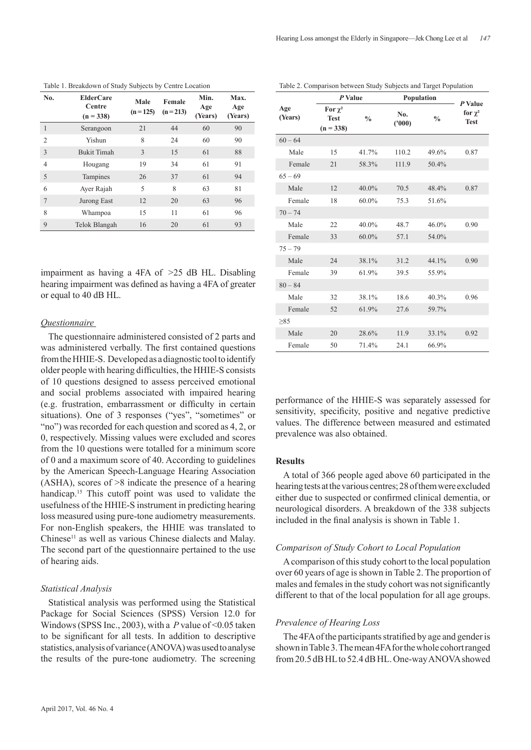| No.            | <b>ElderCare</b><br>Centre<br>$(n = 338)$ | Male<br>Female<br>$(n=213)$<br>$(n = 125)$ |    | Min.<br>Age<br>(Years) | Max.<br>Age<br>(Years) |  |
|----------------|-------------------------------------------|--------------------------------------------|----|------------------------|------------------------|--|
|                | Serangoon                                 | 21                                         | 44 | 60                     | 90                     |  |
| $\overline{2}$ | Yishun                                    | 8                                          | 24 | 60                     | 90                     |  |
| 3              | <b>Bukit Timah</b>                        | 3                                          | 15 | 61                     | 88                     |  |
| 4              | Hougang                                   | 19                                         | 34 | 61                     | 91                     |  |
| 5              | Tampines                                  | 26                                         | 37 | 61                     | 94                     |  |
| 6              | Ayer Rajah                                | 5                                          | 8  | 63                     | 81                     |  |
| $\overline{7}$ | Jurong East                               | 12                                         | 20 | 63                     | 96                     |  |
| 8              | Whampoa                                   | 15                                         | 11 | 61                     | 96                     |  |
| 9              | Telok Blangah                             | 16                                         | 20 | 61                     | 93                     |  |

Table 1. Breakdown of Study Subjects by Centre Location

impairment as having a 4FA of >25 dB HL. Disabling hearing impairment was defined as having a 4FA of greater or equal to 40 dB HL.

## *Questionnaire*

The questionnaire administered consisted of 2 parts and was administered verbally. The first contained questions from the HHIE-S. Developed as a diagnostic tool to identify older people with hearing difficulties, the HHIE-S consists of 10 questions designed to assess perceived emotional and social problems associated with impaired hearing (e.g. frustration, embarrassment or difficulty in certain situations). One of 3 responses ("yes", "sometimes" or "no") was recorded for each question and scored as 4, 2, or 0, respectively. Missing values were excluded and scores from the 10 questions were totalled for a minimum score of 0 and a maximum score of 40. According to guidelines by the American Speech-Language Hearing Association (ASHA), scores of >8 indicate the presence of a hearing handicap.<sup>15</sup> This cutoff point was used to validate the usefulness of the HHIE-S instrument in predicting hearing loss measured using pure-tone audiometry measurements. For non-English speakers, the HHIE was translated to Chinese<sup>11</sup> as well as various Chinese dialects and Malay. The second part of the questionnaire pertained to the use of hearing aids.

#### *Statistical Analysis*

Statistical analysis was performed using the Statistical Package for Social Sciences (SPSS) Version 12.0 for Windows (SPSS Inc., 2003), with a *P* value of <0.05 taken to be significant for all tests. In addition to descriptive statistics, analysis of variance (ANOVA) was used to analyse the results of the pure-tone audiometry. The screening

Table 2. Comparison between Study Subjects and Target Population

|                | P Value                                    |               | Population    | P Value       |                             |  |
|----------------|--------------------------------------------|---------------|---------------|---------------|-----------------------------|--|
| Age<br>(Years) | For $\chi^2$<br><b>Test</b><br>$(n = 338)$ | $\frac{0}{0}$ | No.<br>(1000) | $\frac{0}{0}$ | for $\chi^2$<br><b>Test</b> |  |
| $60 - 64$      |                                            |               |               |               |                             |  |
| Male           | 15                                         | 41.7%         | 110.2         | 49.6%         | 0.87                        |  |
| Female         | 21                                         | 58.3%         | 111.9         | 50.4%         |                             |  |
| $65 - 69$      |                                            |               |               |               |                             |  |
| Male           | 12                                         | 40.0%         | 70.5          | 48.4%         | 0.87                        |  |
| Female         | 18                                         | $60.0\%$      | 75.3          | 51.6%         |                             |  |
| $70 - 74$      |                                            |               |               |               |                             |  |
| Male           | 22                                         | $40.0\%$      | 48.7          | 46.0%         | 0.90                        |  |
| Female         | 33                                         | 60.0%         | 57.1          | 54.0%         |                             |  |
| $75 - 79$      |                                            |               |               |               |                             |  |
| Male           | 24                                         | 38.1%         | 31.2          | 44.1%         | 0.90                        |  |
| Female         | 39                                         | 61.9%         | 39.5          | 55.9%         |                             |  |
| $80 - 84$      |                                            |               |               |               |                             |  |
| Male           | 32                                         | 38.1%         | 18.6          | 40.3%         | 0.96                        |  |
| Female         | 52                                         | 61.9%         | 27.6          | 59.7%         |                             |  |
| >85            |                                            |               |               |               |                             |  |
| Male           | 20                                         | 28.6%         | 11.9          | 33.1%         | 0.92                        |  |
| Female         | 50                                         | 71.4%         | 24.1          | 66.9%         |                             |  |

performance of the HHIE-S was separately assessed for sensitivity, specificity, positive and negative predictive values. The difference between measured and estimated prevalence was also obtained.

## **Results**

A total of 366 people aged above 60 participated in the hearing tests at the various centres; 28 of them were excluded either due to suspected or confirmed clinical dementia, or neurological disorders. A breakdown of the 338 subjects included in the final analysis is shown in Table 1.

#### *Comparison of Study Cohort to Local Population*

A comparison of this study cohort to the local population over 60 years of age is shown in Table 2. The proportion of males and females in the study cohort was not significantly different to that of the local population for all age groups.

## *Prevalence of Hearing Loss*

The 4FA of the participants stratified by age and gender is shown in Table 3. The mean 4FA for the whole cohort ranged from 20.5 dB HL to 52.4 dB HL. One-way ANOVA showed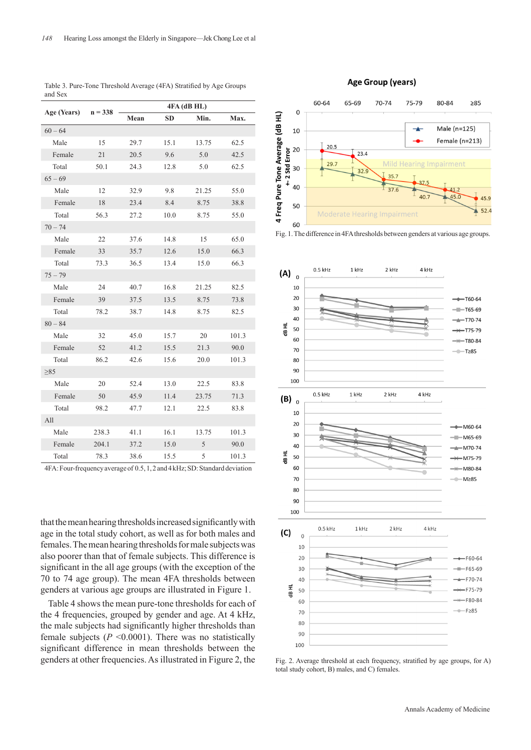|             |           | 4FA (dB HL)  |           |       |       |  |  |  |  |
|-------------|-----------|--------------|-----------|-------|-------|--|--|--|--|
| Age (Years) | $n = 338$ | Mean         | <b>SD</b> | Min.  | Max.  |  |  |  |  |
| $60 - 64$   |           |              |           |       |       |  |  |  |  |
| Male        | 15        | 29.7         | 15.1      | 13.75 | 62.5  |  |  |  |  |
| Female      | 21        | 20.5         | 9.6       | 5.0   | 42.5  |  |  |  |  |
| Total       | 50.1      | 24.3         | 12.8      | 5.0   | 62.5  |  |  |  |  |
| $65 - 69$   |           |              |           |       |       |  |  |  |  |
| Male        | 12        | 32.9         | 9.8       | 21.25 | 55.0  |  |  |  |  |
| Female      | 18        | 23.4         | 8.4       | 8.75  | 38.8  |  |  |  |  |
| Total       | 56.3      | 27.2         | 10.0      | 8.75  | 55.0  |  |  |  |  |
| $70 - 74$   |           |              |           |       |       |  |  |  |  |
| Male        | 22        | 37.6         | 14.8      | 15    | 65.0  |  |  |  |  |
| Female      | 33        | 35.7         | 12.6      | 15.0  | 66.3  |  |  |  |  |
| Total       | 73.3      | 36.5<br>13.4 |           | 15.0  | 66.3  |  |  |  |  |
| $75 - 79$   |           |              |           |       |       |  |  |  |  |
| Male        | 24        | 40.7         | 16.8      | 21.25 | 82.5  |  |  |  |  |
| Female      | 39        | 37.5         | 13.5      | 8.75  | 73.8  |  |  |  |  |
| Total       | 78.2      | 38.7         | 14.8      | 8.75  | 82.5  |  |  |  |  |
| $80 - 84$   |           |              |           |       |       |  |  |  |  |
| Male        | 32        | 45.0         | 15.7      | 20    | 101.3 |  |  |  |  |
| Female      | 52        | 41.2         | 15.5      | 21.3  | 90.0  |  |  |  |  |
| Total       | 86.2      | 42.6         | 15.6      | 20.0  | 101.3 |  |  |  |  |
| $\geq 85$   |           |              |           |       |       |  |  |  |  |
| Male        | 20        | 52.4         | 13.0      | 22.5  | 83.8  |  |  |  |  |
| Female      | 50        | 45.9         | 11.4      | 23.75 | 71.3  |  |  |  |  |
| Total       | 98.2      | 47.7         | 12.1      | 22.5  | 83.8  |  |  |  |  |
| All         |           |              |           |       |       |  |  |  |  |
| Male        | 238.3     | 41.1         | 16.1      | 13.75 | 101.3 |  |  |  |  |
| Female      | 204.1     | 37.2         | 15.0      | 5     | 90.0  |  |  |  |  |
| Total       | 78.3      | 38.6         | 15.5      | 5     | 101.3 |  |  |  |  |

Table 3. Pure-Tone Threshold Average (4FA) Stratified by Age Groups and Sex

4FA: Four-frequency average of 0.5, 1, 2 and 4 kHz; SD: Standard deviation

that the mean hearing thresholds increased significantly with age in the total study cohort, as well as for both males and females. The mean hearing thresholds for male subjects was also poorer than that of female subjects. This difference is significant in the all age groups (with the exception of the 70 to 74 age group). The mean 4FA thresholds between genders at various age groups are illustrated in Figure 1.

Table 4 shows the mean pure-tone thresholds for each of the 4 frequencies, grouped by gender and age. At 4 kHz, the male subjects had significantly higher thresholds than female subjects  $(P \le 0.0001)$ . There was no statistically significant difference in mean thresholds between the genders at other frequencies. As illustrated in Figure 2, the

#### Age Group (years)



Fig. 1. The difference in 4FA thresholds between genders at various age groups.



Fig. 2. Average threshold at each frequency, stratified by age groups, for A) total study cohort, B) males, and C) females.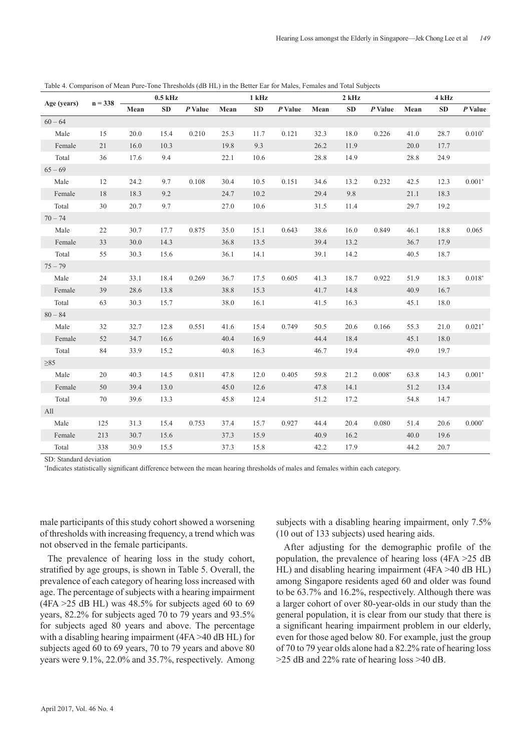|             | $n = 338$ | $0.5$ kHz |      |         | 1 kHz |           | $2$ kHz |      |           | 4 kHz    |      |           |          |
|-------------|-----------|-----------|------|---------|-------|-----------|---------|------|-----------|----------|------|-----------|----------|
| Age (years) |           | Mean      | SD   | P Value | Mean  | <b>SD</b> | P Value | Mean | <b>SD</b> | P Value  | Mean | <b>SD</b> | P Value  |
| $60 - 64$   |           |           |      |         |       |           |         |      |           |          |      |           |          |
| Male        | 15        | 20.0      | 15.4 | 0.210   | 25.3  | 11.7      | 0.121   | 32.3 | 18.0      | 0.226    | 41.0 | 28.7      | $0.010*$ |
| Female      | 21        | 16.0      | 10.3 |         | 19.8  | 9.3       |         | 26.2 | 11.9      |          | 20.0 | 17.7      |          |
| Total       | 36        | 17.6      | 9.4  |         | 22.1  | 10.6      |         | 28.8 | 14.9      |          | 28.8 | 24.9      |          |
| $65 - 69$   |           |           |      |         |       |           |         |      |           |          |      |           |          |
| Male        | 12        | 24.2      | 9.7  | 0.108   | 30.4  | 10.5      | 0.151   | 34.6 | 13.2      | 0.232    | 42.5 | 12.3      | $0.001*$ |
| Female      | 18        | 18.3      | 9.2  |         | 24.7  | 10.2      |         | 29.4 | 9.8       |          | 21.1 | 18.3      |          |
| Total       | 30        | 20.7      | 9.7  |         | 27.0  | 10.6      |         | 31.5 | 11.4      |          | 29.7 | 19.2      |          |
| $70 - 74$   |           |           |      |         |       |           |         |      |           |          |      |           |          |
| Male        | 22        | 30.7      | 17.7 | 0.875   | 35.0  | 15.1      | 0.643   | 38.6 | 16.0      | 0.849    | 46.1 | 18.8      | 0.065    |
| Female      | 33        | 30.0      | 14.3 |         | 36.8  | 13.5      |         | 39.4 | 13.2      |          | 36.7 | 17.9      |          |
| Total       | 55        | 30.3      | 15.6 |         | 36.1  | 14.1      |         | 39.1 | 14.2      |          | 40.5 | 18.7      |          |
| $75 - 79$   |           |           |      |         |       |           |         |      |           |          |      |           |          |
| Male        | 24        | 33.1      | 18.4 | 0.269   | 36.7  | 17.5      | 0.605   | 41.3 | 18.7      | 0.922    | 51.9 | 18.3      | $0.018*$ |
| Female      | 39        | 28.6      | 13.8 |         | 38.8  | 15.3      |         | 41.7 | 14.8      |          | 40.9 | 16.7      |          |
| Total       | 63        | 30.3      | 15.7 |         | 38.0  | 16.1      |         | 41.5 | 16.3      |          | 45.1 | 18.0      |          |
| $80 - 84$   |           |           |      |         |       |           |         |      |           |          |      |           |          |
| Male        | 32        | 32.7      | 12.8 | 0.551   | 41.6  | 15.4      | 0.749   | 50.5 | 20.6      | 0.166    | 55.3 | 21.0      | $0.021*$ |
| Female      | 52        | 34.7      | 16.6 |         | 40.4  | 16.9      |         | 44.4 | 18.4      |          | 45.1 | 18.0      |          |
| Total       | 84        | 33.9      | 15.2 |         | 40.8  | 16.3      |         | 46.7 | 19.4      |          | 49.0 | 19.7      |          |
| $\geq 85$   |           |           |      |         |       |           |         |      |           |          |      |           |          |
| Male        | 20        | 40.3      | 14.5 | 0.811   | 47.8  | 12.0      | 0.405   | 59.8 | 21.2      | $0.008*$ | 63.8 | 14.3      | $0.001*$ |
| Female      | 50        | 39.4      | 13.0 |         | 45.0  | 12.6      |         | 47.8 | 14.1      |          | 51.2 | 13.4      |          |
| Total       | 70        | 39.6      | 13.3 |         | 45.8  | 12.4      |         | 51.2 | 17.2      |          | 54.8 | 14.7      |          |
| All         |           |           |      |         |       |           |         |      |           |          |      |           |          |
| Male        | 125       | 31.3      | 15.4 | 0.753   | 37.4  | 15.7      | 0.927   | 44.4 | 20.4      | 0.080    | 51.4 | 20.6      | $0.000*$ |
| Female      | 213       | 30.7      | 15.6 |         | 37.3  | 15.9      |         | 40.9 | 16.2      |          | 40.0 | 19.6      |          |
| Total       | 338       | 30.9      | 15.5 |         | 37.3  | 15.8      |         | 42.2 | 17.9      |          | 44.2 | 20.7      |          |

Table 4. Comparison of Mean Pure-Tone Thresholds (dB HL) in the Better Ear for Males, Females and Total Subjects

SD: Standard deviation

\* Indicates statistically significant difference between the mean hearing thresholds of males and females within each category.

male participants of this study cohort showed a worsening of thresholds with increasing frequency, a trend which was not observed in the female participants.

The prevalence of hearing loss in the study cohort, stratified by age groups, is shown in Table 5. Overall, the prevalence of each category of hearing loss increased with age. The percentage of subjects with a hearing impairment  $(4FA > 25 dB HL)$  was 48.5% for subjects aged 60 to 69 years, 82.2% for subjects aged 70 to 79 years and 93.5% for subjects aged 80 years and above. The percentage with a disabling hearing impairment (4FA >40 dB HL) for subjects aged 60 to 69 years, 70 to 79 years and above 80 years were 9.1%, 22.0% and 35.7%, respectively. Among subjects with a disabling hearing impairment, only 7.5% (10 out of 133 subjects) used hearing aids.

After adjusting for the demographic profile of the population, the prevalence of hearing loss (4FA >25 dB HL) and disabling hearing impairment (4FA >40 dB HL) among Singapore residents aged 60 and older was found to be 63.7% and 16.2%, respectively. Although there was a larger cohort of over 80-year-olds in our study than the general population, it is clear from our study that there is a significant hearing impairment problem in our elderly, even for those aged below 80. For example, just the group of 70 to 79 year olds alone had a 82.2% rate of hearing loss >25 dB and 22% rate of hearing loss >40 dB.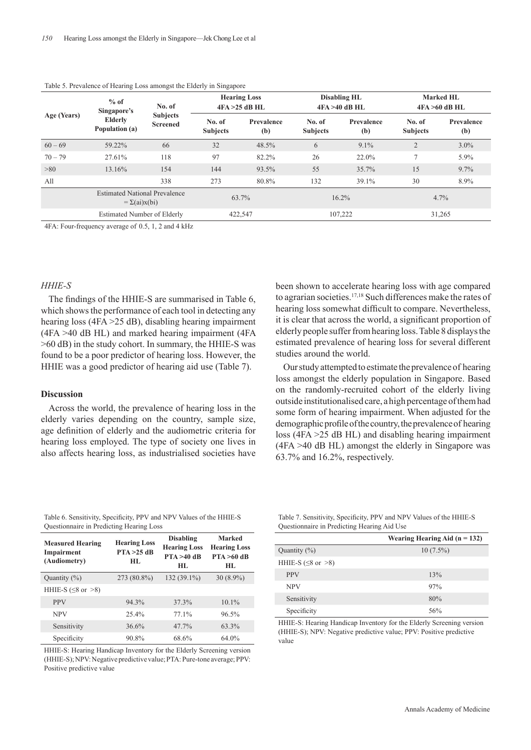| Age (Years) | $%$ of<br>Singapore's<br><b>Elderly</b><br>Population (a)  | No. of                             | <b>Hearing Loss</b><br>4FA > 25 dB H L |                   |                           | <b>Disabling HL</b><br>$4FA > 40$ dB HL | <b>Marked HL</b><br>$4FA > 60$ dB HL |                   |  |
|-------------|------------------------------------------------------------|------------------------------------|----------------------------------------|-------------------|---------------------------|-----------------------------------------|--------------------------------------|-------------------|--|
|             |                                                            | <b>Subjects</b><br><b>Screened</b> | No. of<br><b>Subjects</b>              | Prevalence<br>(b) | No. of<br><b>Subjects</b> | Prevalence<br>(b)                       | No. of<br><b>Subjects</b>            | Prevalence<br>(b) |  |
| $60 - 69$   | 59.22%                                                     | 66                                 | 32                                     | 48.5%             | 6                         | $9.1\%$                                 | $\overline{2}$                       | $3.0\%$           |  |
| $70 - 79$   | 27.61%                                                     | 118                                | 97                                     | 82.2%             | 26                        | 22.0%                                   | 7                                    | 5.9%              |  |
| >80         | 13.16%                                                     | 154                                | 144<br>93.5%                           |                   | 55                        | 35.7%                                   | 15                                   | 9.7%              |  |
| All         |                                                            | 338                                | 273                                    | 80.8%             | 132                       | 39.1%                                   | 30                                   | 8.9%              |  |
|             | <b>Estimated National Prevalence</b><br>$=\Sigma(ai)x(bi)$ |                                    | 63.7%                                  |                   | 16.2%                     |                                         | $4.7\%$                              |                   |  |
|             | Estimated Number of Elderly                                |                                    | 422,547                                |                   |                           | 107,222                                 | 31,265                               |                   |  |

#### Table 5. Prevalence of Hearing Loss amongst the Elderly in Singapore

4FA: Four-frequency average of 0.5, 1, 2 and 4 kHz

#### *HHIE-S*

The findings of the HHIE-S are summarised in Table 6, which shows the performance of each tool in detecting any hearing loss (4FA > 25 dB), disabling hearing impairment (4FA >40 dB HL) and marked hearing impairment (4FA >60 dB) in the study cohort. In summary, the HHIE-S was found to be a poor predictor of hearing loss. However, the HHIE was a good predictor of hearing aid use (Table 7).

#### **Discussion**

Across the world, the prevalence of hearing loss in the elderly varies depending on the country, sample size, age definition of elderly and the audiometric criteria for hearing loss employed. The type of society one lives in also affects hearing loss, as industrialised societies have

been shown to accelerate hearing loss with age compared to agrarian societies.<sup>17,18</sup> Such differences make the rates of hearing loss somewhat difficult to compare. Nevertheless, it is clear that across the world, a significant proportion of elderly people suffer from hearing loss. Table 8 displays the estimated prevalence of hearing loss for several different studies around the world.

Our study attempted to estimate the prevalence of hearing loss amongst the elderly population in Singapore. Based on the randomly-recruited cohort of the elderly living outside institutionalised care, a high percentage of them had some form of hearing impairment. When adjusted for the demographic profile of the country, the prevalence of hearing loss (4FA >25 dB HL) and disabling hearing impairment (4FA >40 dB HL) amongst the elderly in Singapore was 63.7% and 16.2%, respectively.

Table 6. Sensitivity, Specificity, PPV and NPV Values of the HHIE-S Questionnaire in Predicting Hearing Loss

| <b>Measured Hearing</b><br>Impairment<br>(Audiometry) | <b>Hearing Loss</b><br>PTA > 25 dB<br>HI. | <b>Disabling</b><br><b>Hearing Loss</b><br>$PTA > 40$ dB<br>HL. | <b>Marked</b><br><b>Hearing Loss</b><br>$PTA > 60$ dB<br>HL. |  |
|-------------------------------------------------------|-------------------------------------------|-----------------------------------------------------------------|--------------------------------------------------------------|--|
| Quantity $(\%)$                                       | 273 (80.8%)                               | $132(39.1\%)$                                                   | $30(8.9\%)$                                                  |  |
| HHIE-S ( $\leq$ 8 or $>$ 8)                           |                                           |                                                                 |                                                              |  |
| <b>PPV</b>                                            | 94.3%                                     | 37.3%                                                           | $10.1\%$                                                     |  |
| <b>NPV</b>                                            | 25.4%                                     | $77.1\%$                                                        | 96.5%                                                        |  |
| Sensitivity                                           | 36.6%                                     | 47.7%                                                           | 63.3%                                                        |  |
| Specificity                                           | 90.8%                                     | 68.6%                                                           | 64.0%                                                        |  |

HHIE-S: Hearing Handicap Inventory for the Elderly Screening version (HHIE-S); NPV: Negative predictive value; PTA: Pure-tone average; PPV: Positive predictive value

Table 7. Sensitivity, Specificity, PPV and NPV Values of the HHIE-S Questionnaire in Predicting Hearing Aid Use

|                             | Wearing Hearing Aid $(n = 132)$ |
|-----------------------------|---------------------------------|
| Quantity $(\%)$             | $10(7.5\%)$                     |
| HHIE-S ( $\leq$ 8 or $>$ 8) |                                 |
| <b>PPV</b>                  | 13%                             |
| <b>NPV</b>                  | 97%                             |
| Sensitivity                 | 80%                             |
| Specificity                 | 56%                             |

HHIE-S: Hearing Handicap Inventory for the Elderly Screening version (HHIE-S); NPV: Negative predictive value; PPV: Positive predictive value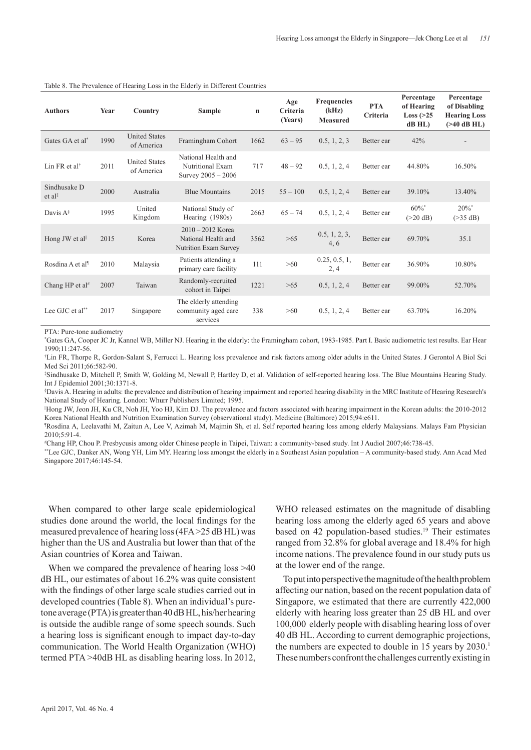| <b>Authors</b>                     | Year | Country                            | <b>Sample</b>                                                       | $\mathbf n$ | Age<br>Criteria<br>(Years) | <b>Frequencies</b><br>(kHz)<br><b>Measured</b> | <b>PTA</b><br>Criteria | Percentage<br>of Hearing<br>Loss $(>25$<br>dB HL) | Percentage<br>of Disabling<br><b>Hearing Loss</b><br>$($ >40 dB HL $)$ |
|------------------------------------|------|------------------------------------|---------------------------------------------------------------------|-------------|----------------------------|------------------------------------------------|------------------------|---------------------------------------------------|------------------------------------------------------------------------|
| Gates GA et al*                    | 1990 | <b>United States</b><br>of America | Framingham Cohort                                                   | 1662        | $63 - 95$                  | 0.5, 1, 2, 3                                   | Better ear             | 42%                                               |                                                                        |
| Lin FR et al <sup>†</sup>          | 2011 | <b>United States</b><br>of America | National Health and<br>Nutritional Exam<br>Survey $2005 - 2006$     | 717         | $48 - 92$                  | 0.5, 1, 2, 4                                   | Better ear             | 44.80%                                            | 16.50%                                                                 |
| Sindhusake D<br>et al <sup>‡</sup> | 2000 | Australia                          | <b>Blue Mountains</b>                                               | 2015        | $55 - 100$                 | 0.5, 1, 2, 4                                   | Better ear             | 39.10%                                            | 13.40%                                                                 |
| Davis $A^{\S}$                     | 1995 | United<br>Kingdom                  | National Study of<br>Hearing $(1980s)$                              | 2663        | $65 - 74$                  | 0.5, 1, 2, 4                                   | Better ear             | $60\%$ <sup>*</sup><br>$(>20$ dB)                 | $20\%$ <sup>*</sup><br>$($ >35 dB)                                     |
| Hong JW et al                      | 2015 | Korea                              | $2010 - 2012$ Korea<br>National Health and<br>Nutrition Exam Survey | 3562        | >65                        | 0.5, 1, 2, 3,<br>4, 6                          | Better ear             | 69.70%                                            | 35.1                                                                   |
| Rosdina A et al <sup>1</sup>       | 2010 | Malaysia                           | Patients attending a<br>primary care facility                       | 111         | $>60$                      | 0.25, 0.5, 1,<br>2, 4                          | Better ear             | 36.90%                                            | 10.80%                                                                 |
| Chang HP et al#                    | 2007 | Taiwan                             | Randomly-recruited<br>cohort in Taipei                              | 1221        | >65                        | 0.5, 1, 2, 4                                   | Better ear             | 99.00%                                            | 52.70%                                                                 |
| Lee GJC et al**                    | 2017 | Singapore                          | The elderly attending<br>community aged care<br>services            | 338         | >60                        | 0.5, 1, 2, 4                                   | Better ear             | 63.70%                                            | 16.20%                                                                 |

#### Table 8. The Prevalence of Hearing Loss in the Elderly in Different Countries

PTA: Pure-tone audiometry

\* Gates GA, Cooper JC Jr, Kannel WB, Miller NJ. Hearing in the elderly: the Framingham cohort, 1983-1985. Part I. Basic audiometric test results. Ear Hear 1990;11:247-56.

† Lin FR, Thorpe R, Gordon-Salant S, Ferrucci L. Hearing loss prevalence and risk factors among older adults in the United States. J Gerontol A Biol Sci Med Sci 2011;66:582-90.

‡ Sindhusake D, Mitchell P, Smith W, Golding M, Newall P, Hartley D, et al. Validation of self-reported hearing loss. The Blue Mountains Hearing Study. Int J Epidemiol 2001;30:1371-8.

§ Davis A. Hearing in adults: the prevalence and distribution of hearing impairment and reported hearing disability in the MRC Institute of Hearing Research's National Study of Hearing. London: Whurr Publishers Limited; 1995.

||Hong JW, Jeon JH, Ku CR, Noh JH, Yoo HJ, Kim DJ. The prevalence and factors associated with hearing impairment in the Korean adults: the 2010-2012 Korea National Health and Nutrition Examination Survey (observational study). Medicine (Baltimore) 2015;94:e611.

¶ Rosdina A, Leelavathi M, Zaitun A, Lee V, Azimah M, Majmin Sh, et al. Self reported hearing loss among elderly Malaysians. Malays Fam Physician 2010;5:91-4.

# Chang HP, Chou P. Presbycusis among older Chinese people in Taipei, Taiwan: a community-based study. Int J Audiol 2007;46:738-45.

\*\*Lee GJC, Danker AN, Wong YH, Lim MY. Hearing loss amongst the elderly in a Southeast Asian population – A community-based study. Ann Acad Med Singapore 2017;46:145-54.

When compared to other large scale epidemiological studies done around the world, the local findings for the measured prevalence of hearing loss (4FA >25 dB HL) was higher than the US and Australia but lower than that of the Asian countries of Korea and Taiwan.

When we compared the prevalence of hearing loss  $>40$ dB HL, our estimates of about 16.2% was quite consistent with the findings of other large scale studies carried out in developed countries (Table 8). When an individual's puretone average (PTA) is greater than 40 dB HL, his/her hearing is outside the audible range of some speech sounds. Such a hearing loss is significant enough to impact day-to-day communication. The World Health Organization (WHO) termed PTA >40dB HL as disabling hearing loss. In 2012,

WHO released estimates on the magnitude of disabling hearing loss among the elderly aged 65 years and above based on 42 population-based studies.<sup>19</sup> Their estimates ranged from 32.8% for global average and 18.4% for high income nations. The prevalence found in our study puts us at the lower end of the range.

To put into perspective the magnitude of the health problem affecting our nation, based on the recent population data of Singapore, we estimated that there are currently 422,000 elderly with hearing loss greater than 25 dB HL and over 100,000 elderly people with disabling hearing loss of over 40 dB HL. According to current demographic projections, the numbers are expected to double in 15 years by 2030.<sup>1</sup> These numbers confront the challenges currently existing in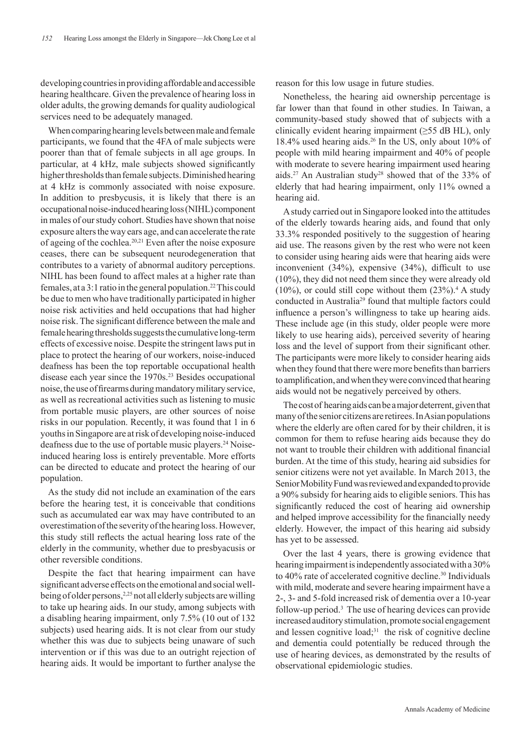developing countries in providing affordable and accessible hearing healthcare. Given the prevalence of hearing loss in older adults, the growing demands for quality audiological services need to be adequately managed.

When comparing hearing levels between male and female participants, we found that the 4FA of male subjects were poorer than that of female subjects in all age groups. In particular, at 4 kHz, male subjects showed significantly higher thresholds than female subjects. Diminished hearing at 4 kHz is commonly associated with noise exposure. In addition to presbycusis, it is likely that there is an occupational noise-induced hearing loss (NIHL) component in males of our study cohort. Studies have shown that noise exposure alters the way ears age, and can accelerate the rate of ageing of the cochlea.20,21 Even after the noise exposure ceases, there can be subsequent neurodegeneration that contributes to a variety of abnormal auditory perceptions. NIHL has been found to affect males at a higher rate than females, at a 3:1 ratio in the general population.<sup>22</sup> This could be due to men who have traditionally participated in higher noise risk activities and held occupations that had higher noise risk. The significant difference between the male and female hearing thresholds suggests the cumulative long-term effects of excessive noise. Despite the stringent laws put in place to protect the hearing of our workers, noise-induced deafness has been the top reportable occupational health disease each year since the 1970s.<sup>23</sup> Besides occupational noise, the use of firearms during mandatory military service, as well as recreational activities such as listening to music from portable music players, are other sources of noise risks in our population. Recently, it was found that 1 in 6 youths in Singapore are at risk of developing noise-induced deafness due to the use of portable music players.24 Noiseinduced hearing loss is entirely preventable. More efforts can be directed to educate and protect the hearing of our population.

As the study did not include an examination of the ears before the hearing test, it is conceivable that conditions such as accumulated ear wax may have contributed to an overestimation of the severity of the hearing loss. However, this study still reflects the actual hearing loss rate of the elderly in the community, whether due to presbyacusis or other reversible conditions.

Despite the fact that hearing impairment can have significant adverse effects on the emotional and social wellbeing of older persons,<sup>2,25</sup> not all elderly subjects are willing to take up hearing aids. In our study, among subjects with a disabling hearing impairment, only 7.5% (10 out of 132 subjects) used hearing aids. It is not clear from our study whether this was due to subjects being unaware of such intervention or if this was due to an outright rejection of hearing aids. It would be important to further analyse the

reason for this low usage in future studies.

Nonetheless, the hearing aid ownership percentage is far lower than that found in other studies. In Taiwan, a community-based study showed that of subjects with a clinically evident hearing impairment ( $\geq$ 55 dB HL), only 18.4% used hearing aids.26 In the US, only about 10% of people with mild hearing impairment and 40% of people with moderate to severe hearing impairment used hearing aids.27 An Australian study28 showed that of the 33% of elderly that had hearing impairment, only 11% owned a hearing aid.

A study carried out in Singapore looked into the attitudes of the elderly towards hearing aids, and found that only 33.3% responded positively to the suggestion of hearing aid use. The reasons given by the rest who were not keen to consider using hearing aids were that hearing aids were inconvenient (34%), expensive (34%), difficult to use (10%), they did not need them since they were already old  $(10\%)$ , or could still cope without them  $(23\%)$ <sup>4</sup> A study conducted in Australia29 found that multiple factors could influence a person's willingness to take up hearing aids. These include age (in this study, older people were more likely to use hearing aids), perceived severity of hearing loss and the level of support from their significant other. The participants were more likely to consider hearing aids when they found that there were more benefits than barriers to amplification, and when they were convinced that hearing aids would not be negatively perceived by others.

The cost of hearing aids can be a major deterrent, given that many of the senior citizens are retirees. In Asian populations where the elderly are often cared for by their children, it is common for them to refuse hearing aids because they do not want to trouble their children with additional financial burden. At the time of this study, hearing aid subsidies for senior citizens were not yet available. In March 2013, the Senior Mobility Fund was reviewed and expanded to provide a 90% subsidy for hearing aids to eligible seniors. This has significantly reduced the cost of hearing aid ownership and helped improve accessibility for the financially needy elderly. However, the impact of this hearing aid subsidy has yet to be assessed.

Over the last 4 years, there is growing evidence that hearing impairment is independently associated with a 30% to 40% rate of accelerated cognitive decline.<sup>30</sup> Individuals with mild, moderate and severe hearing impairment have a 2-, 3- and 5-fold increased risk of dementia over a 10-year follow-up period.3 The use of hearing devices can provide increased auditory stimulation, promote social engagement and lessen cognitive load; $31$  the risk of cognitive decline and dementia could potentially be reduced through the use of hearing devices, as demonstrated by the results of observational epidemiologic studies.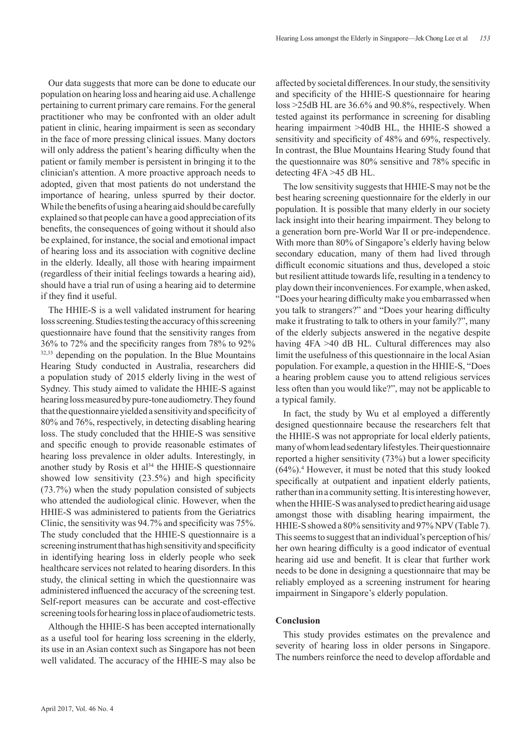Our data suggests that more can be done to educate our population on hearing loss and hearing aid use. A challenge pertaining to current primary care remains. For the general practitioner who may be confronted with an older adult patient in clinic, hearing impairment is seen as secondary in the face of more pressing clinical issues. Many doctors will only address the patient's hearing difficulty when the patient or family member is persistent in bringing it to the clinician's attention. A more proactive approach needs to adopted, given that most patients do not understand the importance of hearing, unless spurred by their doctor. While the benefits of using a hearing aid should be carefully explained so that people can have a good appreciation of its benefits, the consequences of going without it should also be explained, for instance, the social and emotional impact of hearing loss and its association with cognitive decline in the elderly. Ideally, all those with hearing impairment (regardless of their initial feelings towards a hearing aid), should have a trial run of using a hearing aid to determine if they find it useful.

The HHIE-S is a well validated instrument for hearing loss screening. Studies testing the accuracy of this screening questionnaire have found that the sensitivity ranges from 36% to 72% and the specificity ranges from 78% to 92% 32,33 depending on the population. In the Blue Mountains Hearing Study conducted in Australia, researchers did a population study of 2015 elderly living in the west of Sydney. This study aimed to validate the HHIE-S against hearing loss measured by pure-tone audiometry. They found that the questionnaire yielded a sensitivity and specificity of 80% and 76%, respectively, in detecting disabling hearing loss. The study concluded that the HHIE-S was sensitive and specific enough to provide reasonable estimates of hearing loss prevalence in older adults. Interestingly, in another study by Rosis et al<sup>34</sup> the HHIE-S questionnaire showed low sensitivity (23.5%) and high specificity (73.7%) when the study population consisted of subjects who attended the audiological clinic. However, when the HHIE-S was administered to patients from the Geriatrics Clinic, the sensitivity was 94.7% and specificity was 75%. The study concluded that the HHIE-S questionnaire is a screening instrument that has high sensitivity and specificity in identifying hearing loss in elderly people who seek healthcare services not related to hearing disorders. In this study, the clinical setting in which the questionnaire was administered influenced the accuracy of the screening test. Self-report measures can be accurate and cost-effective screening tools for hearing loss in place of audiometric tests.

Although the HHIE-S has been accepted internationally as a useful tool for hearing loss screening in the elderly, its use in an Asian context such as Singapore has not been well validated. The accuracy of the HHIE-S may also be affected by societal differences. In our study, the sensitivity and specificity of the HHIE-S questionnaire for hearing loss >25dB HL are 36.6% and 90.8%, respectively. When tested against its performance in screening for disabling hearing impairment >40dB HL, the HHIE-S showed a sensitivity and specificity of 48% and 69%, respectively. In contrast, the Blue Mountains Hearing Study found that the questionnaire was 80% sensitive and 78% specific in detecting 4FA >45 dB HL.

The low sensitivity suggests that HHIE-S may not be the best hearing screening questionnaire for the elderly in our population. It is possible that many elderly in our society lack insight into their hearing impairment. They belong to a generation born pre-World War II or pre-independence. With more than 80% of Singapore's elderly having below secondary education, many of them had lived through difficult economic situations and thus, developed a stoic but resilient attitude towards life, resulting in a tendency to play down their inconveniences. For example, when asked, "Does your hearing difficulty make you embarrassed when you talk to strangers?" and "Does your hearing difficulty make it frustrating to talk to others in your family?", many of the elderly subjects answered in the negative despite having 4FA >40 dB HL. Cultural differences may also limit the usefulness of this questionnaire in the local Asian population. For example, a question in the HHIE-S, "Does a hearing problem cause you to attend religious services less often than you would like?", may not be applicable to a typical family.

In fact, the study by Wu et al employed a differently designed questionnaire because the researchers felt that the HHIE-S was not appropriate for local elderly patients, many of whom lead sedentary lifestyles. Their questionnaire reported a higher sensitivity (73%) but a lower specificity (64%).4 However, it must be noted that this study looked specifically at outpatient and inpatient elderly patients, rather than in a community setting. It is interesting however, when the HHIE-S was analysed to predict hearing aid usage amongst those with disabling hearing impairment, the HHIE-S showed a 80% sensitivity and 97% NPV (Table 7). This seems to suggest that an individual's perception of his/ her own hearing difficulty is a good indicator of eventual hearing aid use and benefit. It is clear that further work needs to be done in designing a questionnaire that may be reliably employed as a screening instrument for hearing impairment in Singapore's elderly population.

# **Conclusion**

This study provides estimates on the prevalence and severity of hearing loss in older persons in Singapore. The numbers reinforce the need to develop affordable and